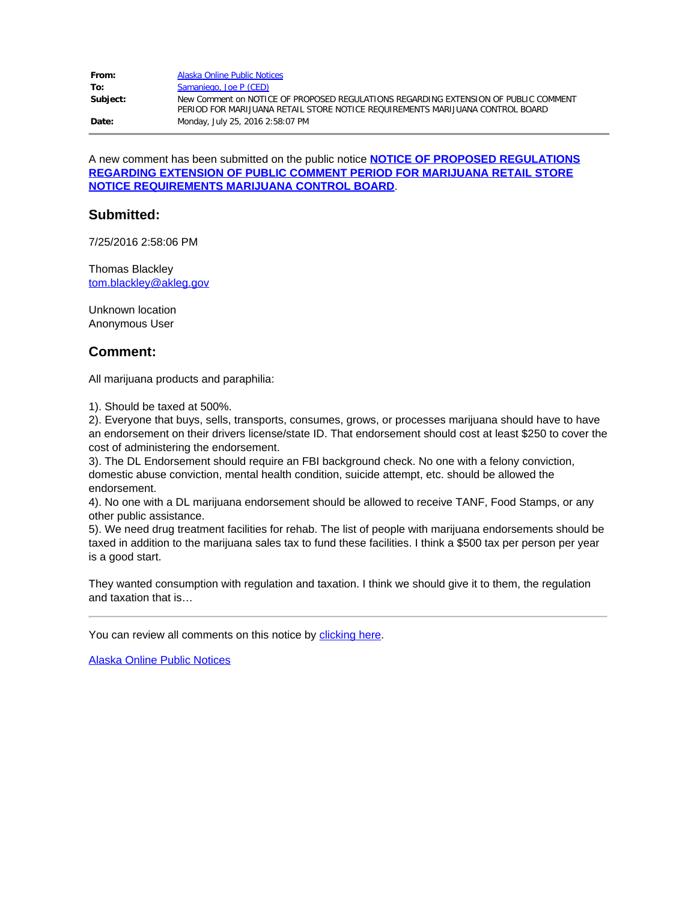| From:    | Alaska Online Public Notices                                                                                                                                         |
|----------|----------------------------------------------------------------------------------------------------------------------------------------------------------------------|
| To:      | Samaniego, Joe P (CED)                                                                                                                                               |
| Subject: | New Comment on NOTICE OF PROPOSED REGULATIONS REGARDING EXTENSION OF PUBLIC COMMENT<br>PERIOD FOR MARIJUANA RETAIL STORE NOTICE REOUIREMENTS MARIJUANA CONTROL BOARD |
| Date:    | Monday, July 25, 2016 2:58:07 PM                                                                                                                                     |

A new comment has been submitted on the public notice **[NOTICE OF PROPOSED REGULATIONS](http://notice.alaska.gov/182189) [REGARDING EXTENSION OF PUBLIC COMMENT PERIOD FOR MARIJUANA RETAIL STORE](http://notice.alaska.gov/182189) [NOTICE REQUIREMENTS MARIJUANA CONTROL BOARD](http://notice.alaska.gov/182189)**.

## **Submitted:**

7/25/2016 2:58:06 PM

Thomas Blackley [tom.blackley@akleg.gov](mailto:tom.blackley@akleg.gov)

Unknown location Anonymous User

## **Comment:**

All marijuana products and paraphilia:

1). Should be taxed at 500%.

2). Everyone that buys, sells, transports, consumes, grows, or processes marijuana should have to have an endorsement on their drivers license/state ID. That endorsement should cost at least \$250 to cover the cost of administering the endorsement.

3). The DL Endorsement should require an FBI background check. No one with a felony conviction, domestic abuse conviction, mental health condition, suicide attempt, etc. should be allowed the endorsement.

4). No one with a DL marijuana endorsement should be allowed to receive TANF, Food Stamps, or any other public assistance.

5). We need drug treatment facilities for rehab. The list of people with marijuana endorsements should be taxed in addition to the marijuana sales tax to fund these facilities. I think a \$500 tax per person per year is a good start.

They wanted consumption with regulation and taxation. I think we should give it to them, the regulation and taxation that is…

You can review all comments on this notice by [clicking here.](http://aws.state.ak.us/OnlinePublicNotices/Notices/Comments.aspx?noticeId=182189)

[Alaska Online Public Notices](http://notice.alaska.gov/)